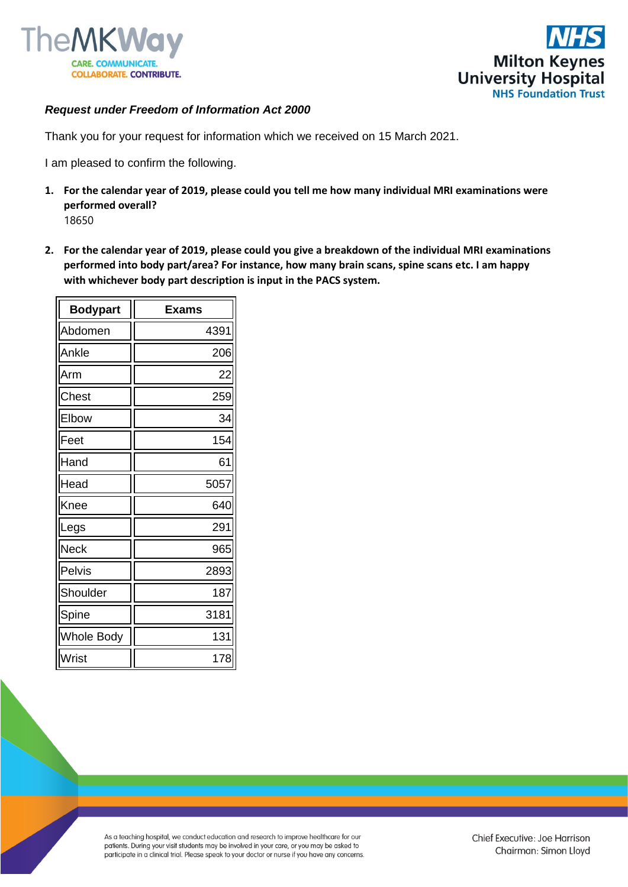



## *Request under Freedom of Information Act 2000*

Thank you for your request for information which we received on 15 March 2021.

I am pleased to confirm the following.

- **1. For the calendar year of 2019, please could you tell me how many individual MRI examinations were performed overall?**
	- 18650
- **2. For the calendar year of 2019, please could you give a breakdown of the individual MRI examinations performed into body part/area? For instance, how many brain scans, spine scans etc. I am happy with whichever body part description is input in the PACS system.**

| <b>Bodypart</b>   | <b>Exams</b> |
|-------------------|--------------|
| Abdomen           | 4391         |
| Ankle             | 206          |
| Arm               | 22           |
| Chest             | 259          |
| Elbow             | 34           |
| Feet              | 154          |
| Hand              | 61           |
| Head              | 5057         |
| Knee              | 640          |
| Legs              | 291          |
| <b>Neck</b>       | 965          |
| Pelvis            | 2893         |
| Shoulder          | 187          |
| Spine             | 3181         |
| <b>Whole Body</b> | 131          |
| Wrist             | 178          |

As a teaching hospital, we conduct education and research to improve healthcare for our patients. During your visit students may be involved in your care, or you may be asked to participate in a clinical trial. Please speak to your doctor or nurse if you have any concerns.